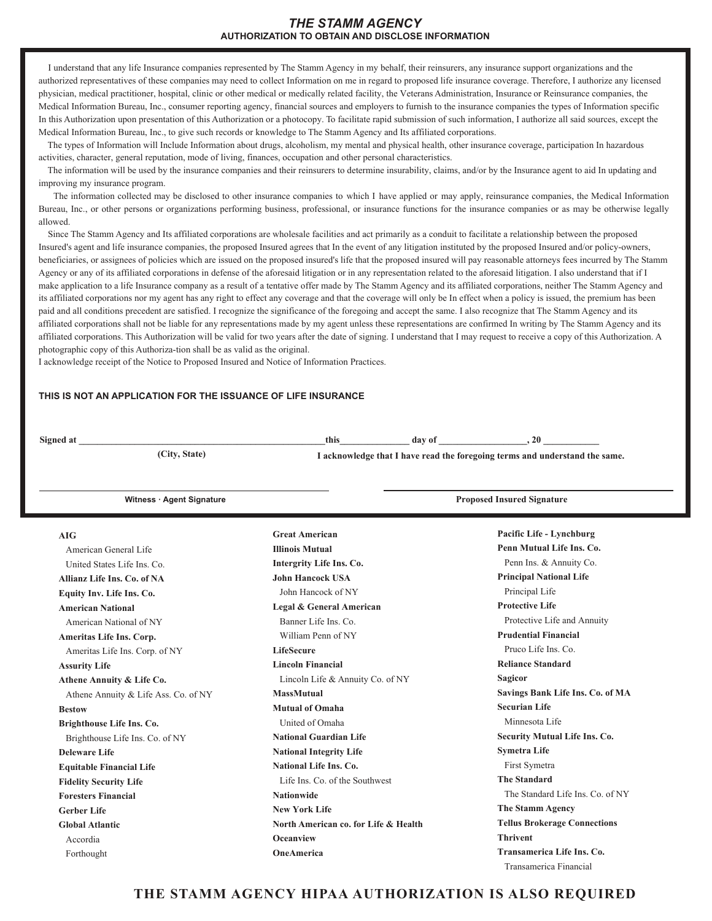I understand that any life Insurance companies represented by The Stamm Agency in my behalf, their reinsurers, any insurance support organizations and the authorized representatives of these companies may need to collect Information on me in regard to proposed life insurance coverage. Therefore, I authorize any licensed physician, medical practitioner, hospital, clinic or other medical or medically related facility, the Veterans Administration, Insurance or Reinsurance companies, the Medical Information Bureau, Inc., consumer reporting agency, financial sources and employers to furnish to the insurance companies the types of Information specific In this Authorization upon presentation of this Authorization or a photocopy. To facilitate rapid submission of such information, I authorize all said sources, except the Medical Information Bureau, Inc., to give such records or knowledge to The Stamm Agency and Its affiliated corporations.

The types of Information will Include Information about drugs, alcoholism, my mental and physical health, other insurance coverage, participation In hazardous activities, character, general reputation, mode of living, finances, occupation and other personal characteristics.

The information will be used by the insurance companies and their reinsurers to determine insurability, claims, and/or by the Insurance agent to aid In updating and improving my insurance program.

The information collected may be disclosed to other insurance companies to which I have applied or may apply, reinsurance companies, the Medical Information Bureau, Inc., or other persons or organizations performing business, professional, or insurance functions for the insurance companies or as may be otherwise legally allowed.

Since The Stamm Agency and Its affiliated corporations are wholesale facilities and act primarily as a conduit to facilitate a relationship between the proposed Insured's agent and life insurance companies, the proposed Insured agrees that In the event of any litigation instituted by the proposed Insured and/or policy-owners, beneficiaries, or assignees of policies which are issued on the proposed insured's life that the proposed insured will pay reasonable attorneys fees incurred by The Stamm Agency or any of its affiliated corporations in defense of the aforesaid litigation or in any representation related to the aforesaid litigation. I also understand that if I make application to a life Insurance company as a result of a tentative offer made by The Stamm Agency and its affiliated corporations, neither The Stamm Agency and its affiliated corporations nor my agent has any right to effect any coverage and that the coverage will only be In effect when a policy is issued, the premium has been paid and all conditions precedent are satisfied. I recognize the significance of the foregoing and accept the same. I also recognize that The Stamm Agency and its affiliated corporations shall not be liable for any representations made by my agent unless these representations are confirmed In writing by The Stamm Agency and its affiliated corporations. This Authorization will be valid for two years after the date of signing. I understand that I may request to receive a copy of this Authorization. A photographic copy of this Authoriza-tion shall be as valid as the original.

I acknowledge receipt of the Notice to Proposed Insured and Notice of Information Practices.

**6LJQHGDWBBBBBBBBBBBBBBBBBBBBBBBBBBBBBBBBBBBBBBBBBBBBBBBBBBBBBWKLVBBBBBBBBBBBBBBBGD\RIBBBBBBBBBBBBBBBBBBBBBBBBBBBBBBB**

**ALCOHOLGITY, State)** *City, State* **<b>b** *I* acknowledge that I have read the foregoing terms and understand the same.

| Witness · Agent Signature            |                                      | <b>Proposed Insured Signature</b>                    |  |
|--------------------------------------|--------------------------------------|------------------------------------------------------|--|
| <b>AIG</b>                           | <b>Great American</b>                | Pacific Life - Lynchburg                             |  |
| American General Life                | <b>Illinois Mutual</b>               | Penn Mutual Life Ins. Co.                            |  |
| United States Life Ins. Co.          | Intergrity Life Ins. Co.             | Penn Ins. & Annuity Co.                              |  |
| Allianz Life Ins. Co. of NA          | <b>John Hancock USA</b>              | <b>Principal National Life</b>                       |  |
| Equity Inv. Life Ins. Co.            | John Hancock of NY                   | Principal Life                                       |  |
| <b>American National</b>             | Legal & General American             | <b>Protective Life</b>                               |  |
| American National of NY              | Banner Life Ins. Co.                 | Protective Life and Annuity                          |  |
| Ameritas Life Ins. Corp.             | William Penn of NY                   | <b>Prudential Financial</b>                          |  |
| Ameritas Life Ins. Corp. of NY       | <b>LifeSecure</b>                    | Pruco Life Ins. Co.                                  |  |
| <b>Assurity Life</b>                 | <b>Lincoln Financial</b>             | <b>Reliance Standard</b>                             |  |
| Athene Annuity & Life Co.            | Lincoln Life & Annuity Co. of NY     | <b>Sagicor</b>                                       |  |
| Athene Annuity & Life Ass. Co. of NY | <b>MassMutual</b>                    | Savings Bank Life Ins. Co. of MA                     |  |
| <b>Bestow</b>                        | <b>Mutual of Omaha</b>               | <b>Securian Life</b>                                 |  |
| Brighthouse Life Ins. Co.            | United of Omaha                      | Minnesota Life                                       |  |
| Brighthouse Life Ins. Co. of NY      | <b>National Guardian Life</b>        | <b>Security Mutual Life Ins. Co.</b>                 |  |
| Deleware Life                        | <b>National Integrity Life</b>       | <b>Symetra Life</b>                                  |  |
| <b>Equitable Financial Life</b>      | National Life Ins. Co.               | First Symetra                                        |  |
| <b>Fidelity Security Life</b>        | Life Ins. Co. of the Southwest       | <b>The Standard</b>                                  |  |
| <b>Foresters Financial</b>           | <b>Nationwide</b>                    | The Standard Life Ins. Co. of NY                     |  |
| <b>Gerber Life</b>                   | <b>New York Life</b>                 | The Stamm Agency                                     |  |
| <b>Global Atlantic</b>               | North American co. for Life & Health | <b>Tellus Brokerage Connections</b>                  |  |
| Accordia                             | <b>Oceanview</b>                     | <b>Thrivent</b>                                      |  |
| Forthought                           | <b>OneAmerica</b>                    | Transamerica Life Ins. Co.<br>Transamerica Financial |  |

## **THE STAMM AGENCY HIPAA AUTHORIZATION IS ALSO REQUIRED**